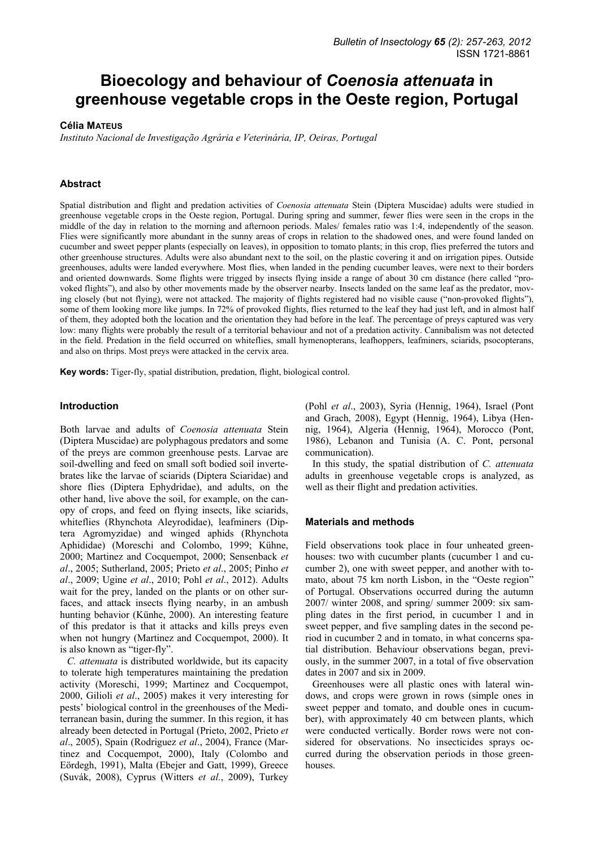# **Bioecology and behaviour of** *Coenosia attenuata* **in greenhouse vegetable crops in the Oeste region, Portugal**

#### **Célia MATEUS**

*Instituto Nacional de Investigação Agrária e Veterinária, IP, Oeiras, Portugal* 

## **Abstract**

Spatial distribution and flight and predation activities of *Coenosia attenuata* Stein (Diptera Muscidae) adults were studied in greenhouse vegetable crops in the Oeste region, Portugal. During spring and summer, fewer flies were seen in the crops in the middle of the day in relation to the morning and afternoon periods. Males/ females ratio was 1:4, independently of the season. Flies were significantly more abundant in the sunny areas of crops in relation to the shadowed ones, and were found landed on cucumber and sweet pepper plants (especially on leaves), in opposition to tomato plants; in this crop, flies preferred the tutors and other greenhouse structures. Adults were also abundant next to the soil, on the plastic covering it and on irrigation pipes. Outside greenhouses, adults were landed everywhere. Most flies, when landed in the pending cucumber leaves, were next to their borders and oriented downwards. Some flights were trigged by insects flying inside a range of about 30 cm distance (here called "provoked flights"), and also by other movements made by the observer nearby. Insects landed on the same leaf as the predator, moving closely (but not flying), were not attacked. The majority of flights registered had no visible cause ("non-provoked flights"), some of them looking more like jumps. In 72% of provoked flights, flies returned to the leaf they had just left, and in almost half of them, they adopted both the location and the orientation they had before in the leaf. The percentage of preys captured was very low: many flights were probably the result of a territorial behaviour and not of a predation activity. Cannibalism was not detected in the field. Predation in the field occurred on whiteflies, small hymenopterans, leafhoppers, leafminers, sciarids, psocopterans, and also on thrips. Most preys were attacked in the cervix area.

**Key words:** Tiger-fly, spatial distribution, predation, flight, biological control.

#### **Introduction**

Both larvae and adults of *Coenosia attenuata* Stein (Diptera Muscidae) are polyphagous predators and some of the preys are common greenhouse pests. Larvae are soil-dwelling and feed on small soft bodied soil invertebrates like the larvae of sciarids (Diptera Sciaridae) and shore flies (Diptera Ephydridae), and adults, on the other hand, live above the soil, for example, on the canopy of crops, and feed on flying insects, like sciarids, whiteflies (Rhynchota Aleyrodidae), leafminers (Diptera Agromyzidae) and winged aphids (Rhynchota Aphididae) (Moreschi and Colombo, 1999; Kühne, 2000; Martinez and Cocquempot, 2000; Sensenback *et al*., 2005; Sutherland, 2005; Prieto *et al*., 2005; Pinho *et al*., 2009; Ugine *et al*., 2010; Pohl *et al*., 2012). Adults wait for the prey, landed on the plants or on other surfaces, and attack insects flying nearby, in an ambush hunting behavior (Künhe, 2000). An interesting feature of this predator is that it attacks and kills preys even when not hungry (Martinez and Cocquempot, 2000). It is also known as "tiger-fly".

*C. attenuata* is distributed worldwide, but its capacity to tolerate high temperatures maintaining the predation activity (Moreschi, 1999; Martinez and Cocquempot, 2000, Gilioli *et al*., 2005) makes it very interesting for pests' biological control in the greenhouses of the Mediterranean basin, during the summer. In this region, it has already been detected in Portugal (Prieto, 2002, Prieto *et al*., 2005), Spain (Rodriguez *et al*., 2004), France (Martinez and Cocquempot, 2000), Italy (Colombo and Eördegh, 1991), Malta (Ebejer and Gatt, 1999), Greece (Suvák, 2008), Cyprus (Witters *et al.*, 2009), Turkey (Pohl *et al*., 2003), Syria (Hennig, 1964), Israel (Pont and Grach, 2008), Egypt (Hennig, 1964), Libya (Hennig, 1964), Algeria (Hennig, 1964), Morocco (Pont, 1986), Lebanon and Tunisia (A. C. Pont, personal communication).

In this study, the spatial distribution of *C. attenuata* adults in greenhouse vegetable crops is analyzed, as well as their flight and predation activities.

#### **Materials and methods**

Field observations took place in four unheated greenhouses: two with cucumber plants (cucumber 1 and cucumber 2), one with sweet pepper, and another with tomato, about 75 km north Lisbon, in the "Oeste region" of Portugal. Observations occurred during the autumn 2007/ winter 2008, and spring/ summer 2009: six sampling dates in the first period, in cucumber 1 and in sweet pepper, and five sampling dates in the second period in cucumber 2 and in tomato, in what concerns spatial distribution. Behaviour observations began, previously, in the summer 2007, in a total of five observation dates in 2007 and six in 2009.

Greenhouses were all plastic ones with lateral windows, and crops were grown in rows (simple ones in sweet pepper and tomato, and double ones in cucumber), with approximately 40 cm between plants, which were conducted vertically. Border rows were not considered for observations. No insecticides sprays occurred during the observation periods in those greenhouses.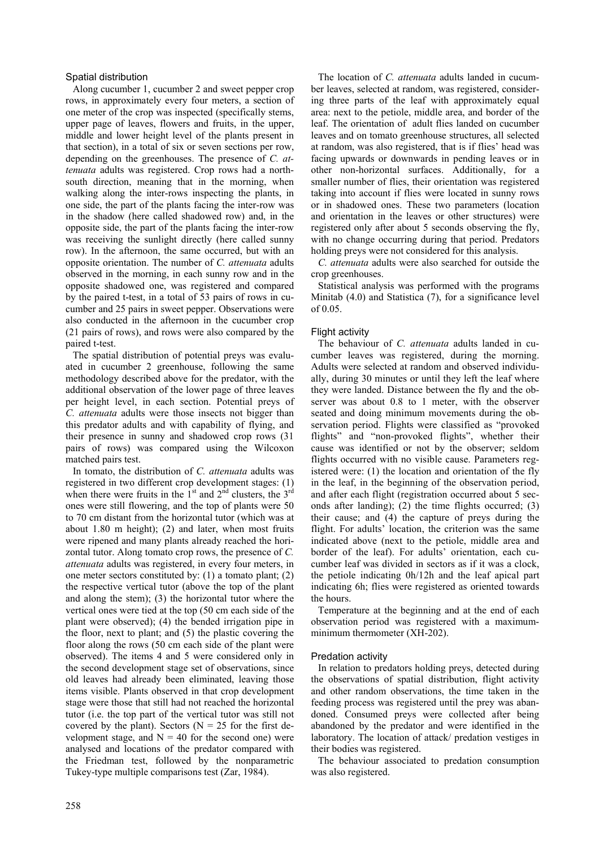## Spatial distribution

Along cucumber 1, cucumber 2 and sweet pepper crop rows, in approximately every four meters, a section of one meter of the crop was inspected (specifically stems, upper page of leaves, flowers and fruits, in the upper, middle and lower height level of the plants present in that section), in a total of six or seven sections per row, depending on the greenhouses. The presence of *C. attenuata* adults was registered. Crop rows had a northsouth direction, meaning that in the morning, when walking along the inter-rows inspecting the plants, in one side, the part of the plants facing the inter-row was in the shadow (here called shadowed row) and, in the opposite side, the part of the plants facing the inter-row was receiving the sunlight directly (here called sunny row). In the afternoon, the same occurred, but with an opposite orientation. The number of *C. attenuata* adults observed in the morning, in each sunny row and in the opposite shadowed one, was registered and compared by the paired t-test, in a total of 53 pairs of rows in cucumber and 25 pairs in sweet pepper. Observations were also conducted in the afternoon in the cucumber crop (21 pairs of rows), and rows were also compared by the paired t-test.

The spatial distribution of potential preys was evaluated in cucumber 2 greenhouse, following the same methodology described above for the predator, with the additional observation of the lower page of three leaves per height level, in each section. Potential preys of *C. attenuata* adults were those insects not bigger than this predator adults and with capability of flying, and their presence in sunny and shadowed crop rows (31 pairs of rows) was compared using the Wilcoxon matched pairs test.

In tomato, the distribution of *C. attenuata* adults was registered in two different crop development stages: (1) when there were fruits in the  $1<sup>st</sup>$  and  $2<sup>nd</sup>$  clusters, the  $3<sup>rd</sup>$ ones were still flowering, and the top of plants were 50 to 70 cm distant from the horizontal tutor (which was at about 1.80 m height); (2) and later, when most fruits were ripened and many plants already reached the horizontal tutor. Along tomato crop rows, the presence of *C. attenuata* adults was registered, in every four meters, in one meter sectors constituted by: (1) a tomato plant; (2) the respective vertical tutor (above the top of the plant and along the stem); (3) the horizontal tutor where the vertical ones were tied at the top (50 cm each side of the plant were observed); (4) the bended irrigation pipe in the floor, next to plant; and (5) the plastic covering the floor along the rows (50 cm each side of the plant were observed). The items 4 and 5 were considered only in the second development stage set of observations, since old leaves had already been eliminated, leaving those items visible. Plants observed in that crop development stage were those that still had not reached the horizontal tutor (i.e. the top part of the vertical tutor was still not covered by the plant). Sectors ( $N = 25$  for the first development stage, and  $N = 40$  for the second one) were analysed and locations of the predator compared with the Friedman test, followed by the nonparametric Tukey-type multiple comparisons test (Zar, 1984).

The location of *C. attenuata* adults landed in cucumber leaves, selected at random, was registered, considering three parts of the leaf with approximately equal area: next to the petiole, middle area, and border of the leaf. The orientation of adult flies landed on cucumber leaves and on tomato greenhouse structures, all selected at random, was also registered, that is if flies' head was facing upwards or downwards in pending leaves or in other non-horizontal surfaces. Additionally, for a smaller number of flies, their orientation was registered taking into account if flies were located in sunny rows or in shadowed ones. These two parameters (location and orientation in the leaves or other structures) were registered only after about 5 seconds observing the fly, with no change occurring during that period. Predators holding preys were not considered for this analysis.

*C. attenuata* adults were also searched for outside the crop greenhouses.

Statistical analysis was performed with the programs Minitab (4.0) and Statistica (7), for a significance level of 0.05.

## Flight activity

The behaviour of *C. attenuata* adults landed in cucumber leaves was registered, during the morning. Adults were selected at random and observed individually, during 30 minutes or until they left the leaf where they were landed. Distance between the fly and the observer was about 0.8 to 1 meter, with the observer seated and doing minimum movements during the observation period. Flights were classified as "provoked flights" and "non-provoked flights", whether their cause was identified or not by the observer; seldom flights occurred with no visible cause. Parameters registered were: (1) the location and orientation of the fly in the leaf, in the beginning of the observation period, and after each flight (registration occurred about 5 seconds after landing); (2) the time flights occurred; (3) their cause; and (4) the capture of preys during the flight. For adults' location, the criterion was the same indicated above (next to the petiole, middle area and border of the leaf). For adults' orientation, each cucumber leaf was divided in sectors as if it was a clock, the petiole indicating 0h/12h and the leaf apical part indicating 6h; flies were registered as oriented towards the hours.

Temperature at the beginning and at the end of each observation period was registered with a maximumminimum thermometer (XH-202).

## Predation activity

In relation to predators holding preys, detected during the observations of spatial distribution, flight activity and other random observations, the time taken in the feeding process was registered until the prey was abandoned. Consumed preys were collected after being abandoned by the predator and were identified in the laboratory. The location of attack/ predation vestiges in their bodies was registered.

The behaviour associated to predation consumption was also registered.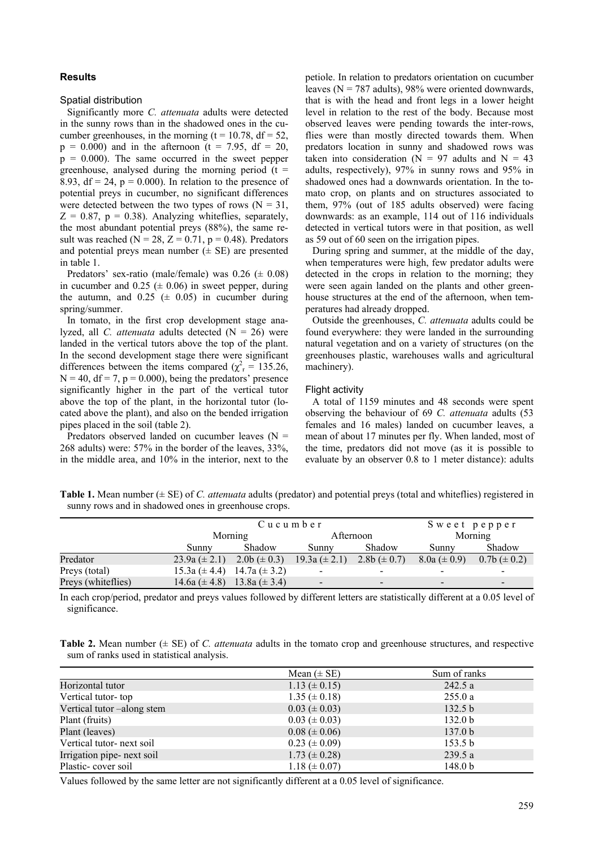## **Results**

#### Spatial distribution

Significantly more *C. attenuata* adults were detected in the sunny rows than in the shadowed ones in the cucumber greenhouses, in the morning ( $t = 10.78$ ,  $df = 52$ ,  $p = 0.000$ ) and in the afternoon (t = 7.95, df = 20,  $p = 0.000$ . The same occurred in the sweet pepper greenhouse, analysed during the morning period  $(t =$ 8.93,  $df = 24$ ,  $p = 0.000$ ). In relation to the presence of potential preys in cucumber, no significant differences were detected between the two types of rows ( $N = 31$ ,  $Z = 0.87$ ,  $p = 0.38$ ). Analyzing whiteflies, separately, the most abundant potential preys (88%), the same result was reached ( $N = 28$ ,  $Z = 0.71$ ,  $p = 0.48$ ). Predators and potential preys mean number  $(\pm \text{ SE})$  are presented in table 1.

Predators' sex-ratio (male/female) was  $0.26 \ (\pm 0.08)$ in cucumber and  $0.25 \ (\pm 0.06)$  in sweet pepper, during the autumn, and  $0.25 \ (\pm 0.05)$  in cucumber during spring/summer.

In tomato, in the first crop development stage analyzed, all *C. attenuata* adults detected (N = 26) were landed in the vertical tutors above the top of the plant. In the second development stage there were significant differences between the items compared ( $\chi^2$ <sub>r</sub> = 135.26,  $N = 40$ ,  $df = 7$ ,  $p = 0.000$ ), being the predators' presence significantly higher in the part of the vertical tutor above the top of the plant, in the horizontal tutor (located above the plant), and also on the bended irrigation pipes placed in the soil (table 2).

Predators observed landed on cucumber leaves  $(N =$ 268 adults) were: 57% in the border of the leaves, 33%, in the middle area, and 10% in the interior, next to the petiole. In relation to predators orientation on cucumber leaves ( $N = 787$  adults), 98% were oriented downwards, that is with the head and front legs in a lower height level in relation to the rest of the body. Because most observed leaves were pending towards the inter-rows, flies were than mostly directed towards them. When predators location in sunny and shadowed rows was taken into consideration ( $N = 97$  adults and  $N = 43$ adults, respectively), 97% in sunny rows and 95% in shadowed ones had a downwards orientation. In the tomato crop, on plants and on structures associated to them, 97% (out of 185 adults observed) were facing downwards: as an example, 114 out of 116 individuals detected in vertical tutors were in that position, as well as 59 out of 60 seen on the irrigation pipes.

During spring and summer, at the middle of the day, when temperatures were high, few predator adults were detected in the crops in relation to the morning; they were seen again landed on the plants and other greenhouse structures at the end of the afternoon, when temperatures had already dropped.

Outside the greenhouses, *C. attenuata* adults could be found everywhere: they were landed in the surrounding natural vegetation and on a variety of structures (on the greenhouses plastic, warehouses walls and agricultural machinery).

#### Flight activity

A total of 1159 minutes and 48 seconds were spent observing the behaviour of 69 *C. attenuata* adults (53 females and 16 males) landed on cucumber leaves, a mean of about 17 minutes per fly. When landed, most of the time, predators did not move (as it is possible to evaluate by an observer 0.8 to 1 meter distance): adults

**Table 1.** Mean number (± SE) of *C. attenuata* adults (predator) and potential preys (total and whiteflies) registered in sunny rows and in shadowed ones in greenhouse crops.

|                    |                                       | Cucumber |                          |                  |                          | Sweet pepper       |  |
|--------------------|---------------------------------------|----------|--------------------------|------------------|--------------------------|--------------------|--|
|                    | Morning                               |          | Afternoon                |                  | Morning                  |                    |  |
|                    | Sunny                                 | Shadow   | Sunny                    | Shadow           | Sunny                    | Shadow             |  |
| Predator           | 23.9a ( $\pm$ 2.1) 2.0b ( $\pm$ 0.3)  |          | $19.3a (\pm 2.1)$        | 2.8b $(\pm 0.7)$ | $8.0a (\pm 0.9)$         | $0.7b \ (\pm 0.2)$ |  |
| Preys (total)      | 15.3a ( $\pm$ 4.4) 14.7a ( $\pm$ 3.2) |          | $\blacksquare$           |                  |                          |                    |  |
| Preys (whiteflies) | 14.6a $(\pm 4.8)$ 13.8a $(\pm 3.4)$   |          | $\overline{\phantom{0}}$ |                  | $\overline{\phantom{a}}$ |                    |  |

In each crop/period, predator and preys values followed by different letters are statistically different at a 0.05 level of significance.

**Table 2.** Mean number (± SE) of *C. attenuata* adults in the tomato crop and greenhouse structures, and respective sum of ranks used in statistical analysis.

|                            | Mean $(\pm SE)$     | Sum of ranks       |
|----------------------------|---------------------|--------------------|
| Horizontal tutor           | $1.13 \ (\pm 0.15)$ | 242.5 a            |
| Vertical tutor-top         | $1.35 \ (\pm 0.18)$ | 255.0a             |
| Vertical tutor-along stem  | $0.03 \ (\pm 0.03)$ | 132.5 b            |
| Plant (fruits)             | $0.03 \ (\pm 0.03)$ | 132.0 <sub>b</sub> |
| Plant (leaves)             | $0.08 (\pm 0.06)$   | 137.0 <sub>b</sub> |
| Vertical tutor-next soil   | $0.23 \ (\pm 0.09)$ | 153.5 <sub>b</sub> |
| Irrigation pipe- next soil | $1.73 \ (\pm 0.28)$ | 239.5a             |
| Plastic-cover soil         | $1.18 \ (\pm 0.07)$ | 148.0 <sub>b</sub> |

Values followed by the same letter are not significantly different at a 0.05 level of significance.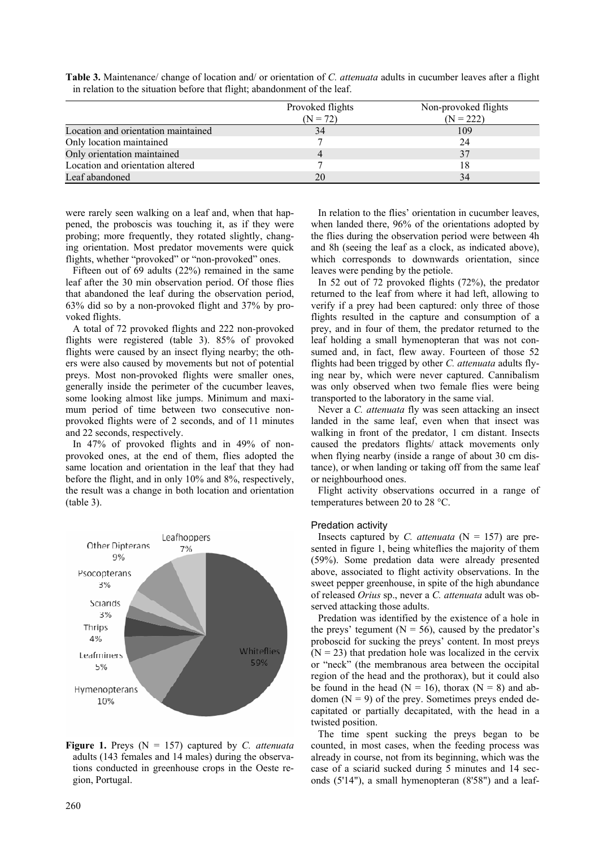|                                     | Provoked flights | Non-provoked flights |
|-------------------------------------|------------------|----------------------|
|                                     | $(N = 72)$       | $(N = 222)$          |
| Location and orientation maintained | 34               | 109                  |
| Only location maintained            |                  | 24                   |
| Only orientation maintained         |                  | 37                   |
| Location and orientation altered    |                  |                      |
| Leaf abandoned                      | 20               | 34                   |

**Table 3.** Maintenance/ change of location and/ or orientation of *C. attenuata* adults in cucumber leaves after a flight in relation to the situation before that flight; abandonment of the leaf.

were rarely seen walking on a leaf and, when that happened, the proboscis was touching it, as if they were probing; more frequently, they rotated slightly, changing orientation. Most predator movements were quick flights, whether "provoked" or "non-provoked" ones.

Fifteen out of 69 adults (22%) remained in the same leaf after the 30 min observation period. Of those flies that abandoned the leaf during the observation period, 63% did so by a non-provoked flight and 37% by provoked flights.

A total of 72 provoked flights and 222 non-provoked flights were registered (table 3). 85% of provoked flights were caused by an insect flying nearby; the others were also caused by movements but not of potential preys. Most non-provoked flights were smaller ones, generally inside the perimeter of the cucumber leaves, some looking almost like jumps. Minimum and maximum period of time between two consecutive nonprovoked flights were of 2 seconds, and of 11 minutes and 22 seconds, respectively.

In 47% of provoked flights and in 49% of nonprovoked ones, at the end of them, flies adopted the same location and orientation in the leaf that they had before the flight, and in only 10% and 8%, respectively, the result was a change in both location and orientation (table 3).



**Figure 1.** Preys (N = 157) captured by *C. attenuata* adults (143 females and 14 males) during the observations conducted in greenhouse crops in the Oeste region, Portugal.

In relation to the flies' orientation in cucumber leaves, when landed there, 96% of the orientations adopted by the flies during the observation period were between 4h and 8h (seeing the leaf as a clock, as indicated above), which corresponds to downwards orientation, since leaves were pending by the petiole.

In 52 out of 72 provoked flights (72%), the predator returned to the leaf from where it had left, allowing to verify if a prey had been captured: only three of those flights resulted in the capture and consumption of a prey, and in four of them, the predator returned to the leaf holding a small hymenopteran that was not consumed and, in fact, flew away. Fourteen of those 52 flights had been trigged by other *C. attenuata* adults flying near by, which were never captured. Cannibalism was only observed when two female flies were being transported to the laboratory in the same vial.

Never a *C. attenuata* fly was seen attacking an insect landed in the same leaf, even when that insect was walking in front of the predator, 1 cm distant. Insects caused the predators flights/ attack movements only when flying nearby (inside a range of about 30 cm distance), or when landing or taking off from the same leaf or neighbourhood ones.

Flight activity observations occurred in a range of temperatures between 20 to 28 °C.

#### Predation activity

Insects captured by *C. attenuata*  $(N = 157)$  are presented in figure 1, being whiteflies the majority of them (59%). Some predation data were already presented above, associated to flight activity observations. In the sweet pepper greenhouse, in spite of the high abundance of released *Orius* sp., never a *C. attenuata* adult was observed attacking those adults.

Predation was identified by the existence of a hole in the preys' tegument ( $N = 56$ ), caused by the predator's proboscid for sucking the preys' content. In most preys  $(N = 23)$  that predation hole was localized in the cervix or "neck" (the membranous area between the occipital region of the head and the prothorax), but it could also be found in the head ( $N = 16$ ), thorax ( $N = 8$ ) and abdomen  $(N = 9)$  of the prey. Sometimes preys ended decapitated or partially decapitated, with the head in a twisted position.

The time spent sucking the preys began to be counted, in most cases, when the feeding process was already in course, not from its beginning, which was the case of a sciarid sucked during 5 minutes and 14 seconds (5'14"), a small hymenopteran (8'58") and a leaf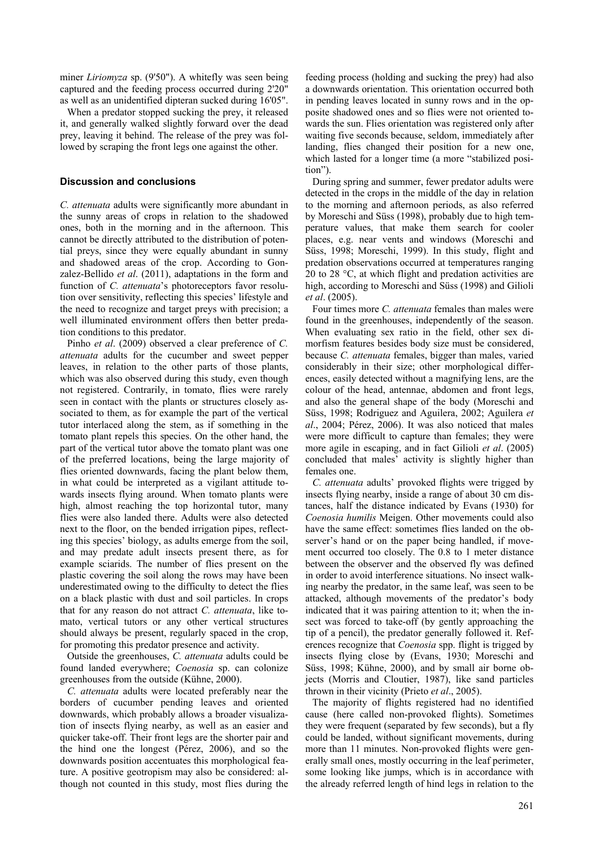miner *Liriomyza* sp. (9'50"). A whitefly was seen being captured and the feeding process occurred during 2'20" as well as an unidentified dipteran sucked during 16'05".

When a predator stopped sucking the prey, it released it, and generally walked slightly forward over the dead prey, leaving it behind. The release of the prey was followed by scraping the front legs one against the other.

### **Discussion and conclusions**

*C. attenuata* adults were significantly more abundant in the sunny areas of crops in relation to the shadowed ones, both in the morning and in the afternoon. This cannot be directly attributed to the distribution of potential preys, since they were equally abundant in sunny and shadowed areas of the crop. According to Gonzalez-Bellido *et al*. (2011), adaptations in the form and function of *C. attenuata*'s photoreceptors favor resolution over sensitivity, reflecting this species' lifestyle and the need to recognize and target preys with precision; a well illuminated environment offers then better predation conditions to this predator.

Pinho *et al*. (2009) observed a clear preference of *C. attenuata* adults for the cucumber and sweet pepper leaves, in relation to the other parts of those plants, which was also observed during this study, even though not registered. Contrarily, in tomato, flies were rarely seen in contact with the plants or structures closely associated to them, as for example the part of the vertical tutor interlaced along the stem, as if something in the tomato plant repels this species. On the other hand, the part of the vertical tutor above the tomato plant was one of the preferred locations, being the large majority of flies oriented downwards, facing the plant below them, in what could be interpreted as a vigilant attitude towards insects flying around. When tomato plants were high, almost reaching the top horizontal tutor, many flies were also landed there. Adults were also detected next to the floor, on the bended irrigation pipes, reflecting this species' biology, as adults emerge from the soil, and may predate adult insects present there, as for example sciarids. The number of flies present on the plastic covering the soil along the rows may have been underestimated owing to the difficulty to detect the flies on a black plastic with dust and soil particles. In crops that for any reason do not attract *C. attenuata*, like tomato, vertical tutors or any other vertical structures should always be present, regularly spaced in the crop, for promoting this predator presence and activity.

Outside the greenhouses, *C. attenuata* adults could be found landed everywhere; *Coenosia* sp. can colonize greenhouses from the outside (Kühne, 2000).

*C. attenuata* adults were located preferably near the borders of cucumber pending leaves and oriented downwards, which probably allows a broader visualization of insects flying nearby, as well as an easier and quicker take-off. Their front legs are the shorter pair and the hind one the longest (Pérez, 2006), and so the downwards position accentuates this morphological feature. A positive geotropism may also be considered: although not counted in this study, most flies during the

feeding process (holding and sucking the prey) had also a downwards orientation. This orientation occurred both in pending leaves located in sunny rows and in the opposite shadowed ones and so flies were not oriented towards the sun. Flies orientation was registered only after waiting five seconds because, seldom, immediately after landing, flies changed their position for a new one, which lasted for a longer time (a more "stabilized position").

During spring and summer, fewer predator adults were detected in the crops in the middle of the day in relation to the morning and afternoon periods, as also referred by Moreschi and Süss (1998), probably due to high temperature values, that make them search for cooler places, e.g. near vents and windows (Moreschi and Süss, 1998; Moreschi, 1999). In this study, flight and predation observations occurred at temperatures ranging 20 to 28 °C, at which flight and predation activities are high, according to Moreschi and Süss (1998) and Gilioli *et al*. (2005).

Four times more *C. attenuata* females than males were found in the greenhouses, independently of the season. When evaluating sex ratio in the field, other sex dimorfism features besides body size must be considered, because *C. attenuata* females, bigger than males, varied considerably in their size; other morphological differences, easily detected without a magnifying lens, are the colour of the head, antennae, abdomen and front legs, and also the general shape of the body (Moreschi and Süss, 1998; Rodriguez and Aguilera, 2002; Aguilera *et al*., 2004; Pérez, 2006). It was also noticed that males were more difficult to capture than females; they were more agile in escaping, and in fact Gilioli *et al*. (2005) concluded that males' activity is slightly higher than females one.

*C. attenuata* adults' provoked flights were trigged by insects flying nearby, inside a range of about 30 cm distances, half the distance indicated by Evans (1930) for *Coenosia humilis* Meigen. Other movements could also have the same effect: sometimes flies landed on the observer's hand or on the paper being handled, if movement occurred too closely. The 0.8 to 1 meter distance between the observer and the observed fly was defined in order to avoid interference situations. No insect walking nearby the predator, in the same leaf, was seen to be attacked, although movements of the predator's body indicated that it was pairing attention to it; when the insect was forced to take-off (by gently approaching the tip of a pencil), the predator generally followed it. References recognize that *Coenosia* spp. flight is trigged by insects flying close by (Evans, 1930; Moreschi and Süss, 1998; Kühne, 2000), and by small air borne objects (Morris and Cloutier, 1987), like sand particles thrown in their vicinity (Prieto *et al*., 2005).

The majority of flights registered had no identified cause (here called non-provoked flights). Sometimes they were frequent (separated by few seconds), but a fly could be landed, without significant movements, during more than 11 minutes. Non-provoked flights were generally small ones, mostly occurring in the leaf perimeter, some looking like jumps, which is in accordance with the already referred length of hind legs in relation to the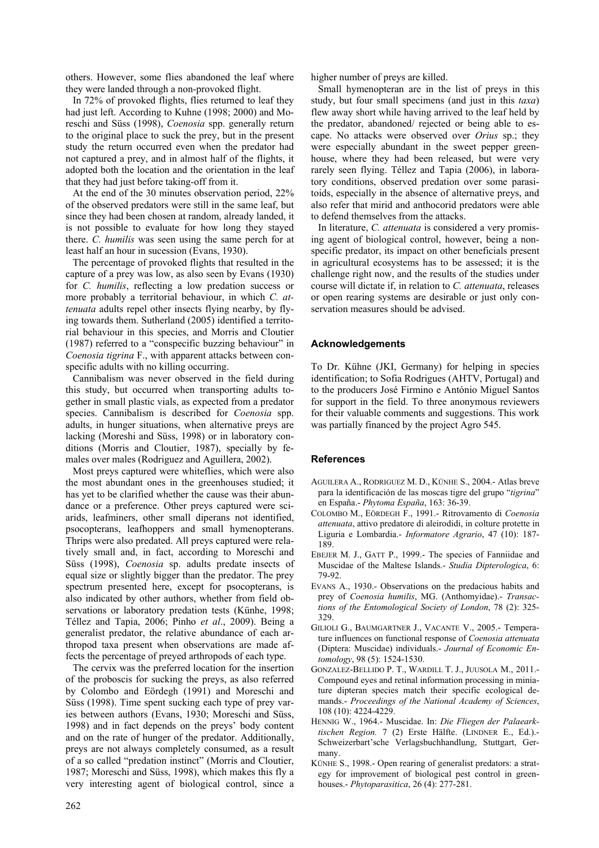others. However, some flies abandoned the leaf where they were landed through a non-provoked flight.

In 72% of provoked flights, flies returned to leaf they had just left. According to Kuhne (1998; 2000) and Moreschi and Süss (1998), *Coenosia* spp. generally return to the original place to suck the prey, but in the present study the return occurred even when the predator had not captured a prey, and in almost half of the flights, it adopted both the location and the orientation in the leaf that they had just before taking-off from it.

At the end of the 30 minutes observation period, 22% of the observed predators were still in the same leaf, but since they had been chosen at random, already landed, it is not possible to evaluate for how long they stayed there. *C. humilis* was seen using the same perch for at least half an hour in sucession (Evans, 1930).

The percentage of provoked flights that resulted in the capture of a prey was low, as also seen by Evans (1930) for *C. humilis*, reflecting a low predation success or more probably a territorial behaviour, in which *C. attenuata* adults repel other insects flying nearby, by flying towards them. Sutherland (2005) identified a territorial behaviour in this species, and Morris and Cloutier (1987) referred to a "conspecific buzzing behaviour" in *Coenosia tigrina* F., with apparent attacks between conspecific adults with no killing occurring.

Cannibalism was never observed in the field during this study, but occurred when transporting adults together in small plastic vials, as expected from a predator species. Cannibalism is described for *Coenosia* spp. adults, in hunger situations, when alternative preys are lacking (Moreshi and Süss, 1998) or in laboratory conditions (Morris and Cloutier, 1987), specially by females over males (Rodriguez and Aguillera, 2002).

Most preys captured were whiteflies, which were also the most abundant ones in the greenhouses studied; it has yet to be clarified whether the cause was their abundance or a preference. Other preys captured were sciarids, leafminers, other small diperans not identified, psocopterans, leafhoppers and small hymenopterans. Thrips were also predated. All preys captured were relatively small and, in fact, according to Moreschi and Süss (1998), *Coenosia* sp. adults predate insects of equal size or slightly bigger than the predator. The prey spectrum presented here, except for psocopterans, is also indicated by other authors, whether from field observations or laboratory predation tests (Künhe, 1998; Téllez and Tapia, 2006; Pinho *et al*., 2009). Being a generalist predator, the relative abundance of each arthropod taxa present when observations are made affects the percentage of preyed arthropods of each type.

The cervix was the preferred location for the insertion of the proboscis for sucking the preys, as also referred by Colombo and Eördegh (1991) and Moreschi and Süss (1998). Time spent sucking each type of prey varies between authors (Evans, 1930; Moreschi and Süss, 1998) and in fact depends on the preys' body content and on the rate of hunger of the predator. Additionally, preys are not always completely consumed, as a result of a so called "predation instinct" (Morris and Cloutier, 1987; Moreschi and Süss, 1998), which makes this fly a very interesting agent of biological control, since a higher number of preys are killed.

Small hymenopteran are in the list of preys in this study, but four small specimens (and just in this *taxa*) flew away short while having arrived to the leaf held by the predator, abandoned/ rejected or being able to escape. No attacks were observed over *Orius* sp.; they were especially abundant in the sweet pepper greenhouse, where they had been released, but were very rarely seen flying. Téllez and Tapia (2006), in laboratory conditions, observed predation over some parasitoids, especially in the absence of alternative preys, and also refer that mirid and anthocorid predators were able to defend themselves from the attacks.

In literature, *C. attenuata* is considered a very promising agent of biological control, however, being a nonspecific predator, its impact on other beneficials present in agricultural ecosystems has to be assessed; it is the challenge right now, and the results of the studies under course will dictate if, in relation to *C. attenuata*, releases or open rearing systems are desirable or just only conservation measures should be advised.

## **Acknowledgements**

To Dr. Kühne (JKI, Germany) for helping in species identification; to Sofia Rodrigues (AHTV, Portugal) and to the producers José Firmino e António Miguel Santos for support in the field. To three anonymous reviewers for their valuable comments and suggestions. This work was partially financed by the project Agro 545.

# **References**

- AGUILERA A., RODRIGUEZ M. D., KÜNHE S., 2004.- Atlas breve para la identificación de las moscas tigre del grupo "*tigrina*" en España.- *Phytoma España*, 163: 36-39.
- COLOMBO M., EÖRDEGH F., 1991.- Ritrovamento di *Coenosia attenuata*, attivo predatore di aleirodidi, in colture protette in Liguria e Lombardia.- *Informatore Agrario*, 47 (10): 187- 189.
- EBEJER M. J., GATT P., 1999.- The species of Fanniidae and Muscidae of the Maltese Islands.- *Studia Dipterologica*, 6: 79-92.
- EVANS A., 1930.- Observations on the predacious habits and prey of *Coenosia humilis*, MG. (Anthomyidae).- *Transactions of the Entomological Society of London*, 78 (2): 325- 329.
- GILIOLI G., BAUMGARTNER J., VACANTE V., 2005.- Temperature influences on functional response of *Coenosia attenuata* (Diptera: Muscidae) individuals.- *Journal of Economic Entomology*, 98 (5): 1524-1530.
- GONZALEZ-BELLIDO P. T., WARDILL T. J., JUUSOLA M., 2011.- Compound eyes and retinal information processing in miniature dipteran species match their specific ecological demands.- *Proceedings of the National Academy of Sciences*, 108 (10): 4224-4229.
- HENNIG W., 1964.- Muscidae. In: *Die Fliegen der Palaearktischen Region.* 7 (2) Erste Hälfte. (LINDNER E., Ed.).- Schweizerbart'sche Verlagsbuchhandlung, Stuttgart, Germany.
- KÜNHE S., 1998.- Open rearing of generalist predators: a strategy for improvement of biological pest control in greenhouses.- *Phytoparasitica*, 26 (4): 277-281.